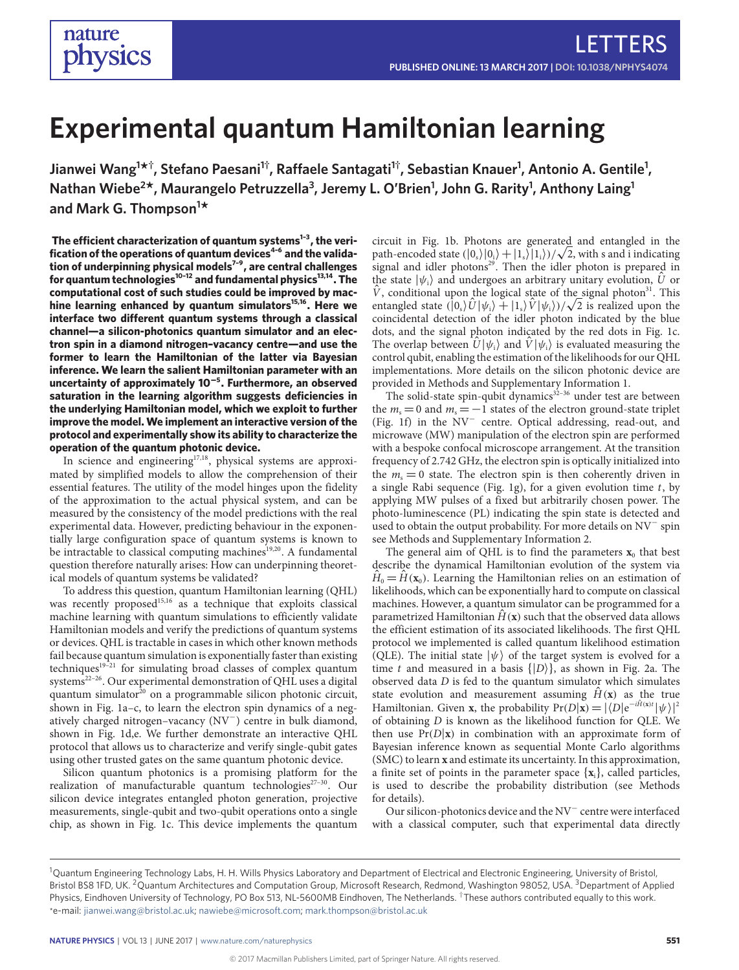# **Experimental quantum Hamiltonian learning**

 $\bm{A}$  Jianwei Wang $^{\bm{1}\star\dagger}$ , Stefano Paesani $^{\text{1}\dagger}$ , Raffaele Santagati $^{\text{1}\dagger}$ , Sebastian Knauer<sup>1</sup>, Antonio A. Gentile<sup>1</sup>, **Nathan Wiebe<sup>2</sup> \*, Maurangelo Petruzzella3 , Jeremy L. O'Brien1 , John G. Rarity1 , Anthony Laing<sup>1</sup> and Mark G. Thompson1 \***

**The ecient characterization of quantum systems[1–](#page-3-0)[3](#page-3-1) , the verification of the operations of quantum devices[4–](#page-3-2)[6](#page-3-3) and the validation of underpinning physical models[7–](#page-3-4)[9](#page-3-5) , are central challenges for quantum technologies[10](#page-3-6)[–12](#page-3-7) and fundamental physics[13,](#page-3-8)[14](#page-3-9). The computational cost of such studies could be improved by machine learning enhanced by quantum simulators[15,](#page-3-10)[16](#page-3-11). Here we** interface two different quantum systems through a classical **channel—a silicon-photonics quantum simulator and an electron spin in a diamond nitrogen–vacancy centre—and use the former to learn the Hamiltonian of the latter via Bayesian inference. We learn the salient Hamiltonian parameter with an uncertainty of approximately 10**−**<sup>5</sup> . Furthermore, an observed saturation in the learning algorithm suggests deficiencies in the underlying Hamiltonian model, which we exploit to further improve the model. We implement an interactive version of the protocol and experimentally show its ability to characterize the operation of the quantum photonic device.**

In science and engineering<sup>[17](#page-3-12)[,18](#page-3-13)</sup>, physical systems are approximated by simplified models to allow the comprehension of their essential features. The utility of the model hinges upon the fidelity of the approximation to the actual physical system, and can be measured by the consistency of the model predictions with the real experimental data. However, predicting behaviour in the exponentially large configuration space of quantum systems is known to be intractable to classical computing machines<sup>[19,](#page-3-14)[20](#page-3-15)</sup>. A fundamental question therefore naturally arises: How can underpinning theoretical models of quantum systems be validated?

To address this question, quantum Hamiltonian learning (QHL) was recently proposed<sup>[15,](#page-3-10)[16](#page-3-11)</sup> as a technique that exploits classical machine learning with quantum simulations to efficiently validate Hamiltonian models and verify the predictions of quantum systems or devices. QHL is tractable in cases in which other known methods fail because quantum simulation is exponentially faster than existing techniques<sup>[19](#page-3-14)-21</sup> for simulating broad classes of complex quantum systems<sup>[22–](#page-3-17)[26](#page-3-18)</sup>. Our experimental demonstration of QHL uses a digital quantum simulator $^{20}$  $^{20}$  $^{20}$  on a programmable silicon photonic circuit, shown in Fig. [1a–c,](#page-1-0) to learn the electron spin dynamics of a negatively charged nitrogen–vacancy (NV<sup>−</sup> ) centre in bulk diamond, shown in Fig. [1d,e.](#page-1-0) We further demonstrate an interactive QHL protocol that allows us to characterize and verify single-qubit gates using other trusted gates on the same quantum photonic device.

Silicon quantum photonics is a promising platform for the realization of manufacturable quantum technologies<sup> $27-30$  $27-30$ </sup>. Our silicon device integrates entangled photon generation, projective measurements, single-qubit and two-qubit operations onto a single chip, as shown in Fig. [1c.](#page-1-0) This device implements the quantum

circuit in Fig. [1b.](#page-1-0) Photons are generated and entangled in the circuit in Fig. 1b. Photons are generated and entangled in the path-encoded state  $(|0_s\rangle|0_i\rangle + |1_s\rangle|1_i\rangle)/\sqrt{2}$ , with s and i indicating signal and idler photons<sup>[29](#page-4-1)</sup>. Then the idler photon is prepared in the state  $|\psi_i\rangle$  and undergoes an arbitrary unitary evolution,  $\hat{U}$  or  $\hat{V}$ , conditional upon the logical state of the signal photon<sup>[31](#page-4-2)</sup>. This *V*, conditional upon the logical state of the signal photon<sup>31</sup>. This entangled state  $(|0_s\rangle \hat{U}|\psi_i\rangle + |1_s\rangle \hat{V}|\psi_i\rangle)/\sqrt{2}$  is realized upon the coincidental detection of the idler photon indicated by the blue dots, and the signal photon indicated by the red dots in Fig. [1c.](#page-1-0) The overlap between  $\hat{U}|\psi_i\rangle$  and  $\hat{V}|\psi_i\rangle$  is evaluated measuring the control qubit, enabling the estimation of the likelihoods for our QHL implementations. More details on the silicon photonic device are provided in Methods and Supplementary Information 1.

The solid-state spin-qubit dynamics $3^{2-36}$  $3^{2-36}$  $3^{2-36}$  under test are between the  $m_s = 0$  and  $m_s = -1$  states of the electron ground-state triplet (Fig. [1f\)](#page-1-0) in the NV<sup>−</sup> centre. Optical addressing, read-out, and microwave (MW) manipulation of the electron spin are performed with a bespoke confocal microscope arrangement. At the transition frequency of 2.742 GHz, the electron spin is optically initialized into the  $m_s = 0$  state. The electron spin is then coherently driven in a single Rabi sequence (Fig. [1g\)](#page-1-0), for a given evolution time  $t$ , by applying MW pulses of a fixed but arbitrarily chosen power. The photo-luminescence (PL) indicating the spin state is detected and used to obtain the output probability. For more details on NV<sup>−</sup> spin see Methods and Supplementary Information 2.

The general aim of QHL is to find the parameters  $\mathbf{x}_0$  that best describe the dynamical Hamiltonian evolution of the system via  $\hat{H}_0 = \hat{H}(\mathbf{x}_0)$ . Learning the Hamiltonian relies on an estimation of likelihoods, which can be exponentially hard to compute on classical machines. However, a quantum simulator can be programmed for a parametrized Hamiltonian  $\hat{H}(\mathbf{x})$  such that the observed data allows the efficient estimation of its associated likelihoods. The first QHL protocol we implemented is called quantum likelihood estimation (QLE). The initial state  $|\psi\rangle$  of the target system is evolved for a time t and measured in a basis  $\{|D\rangle\}$ , as shown in Fig. [2a.](#page-2-0) The observed data D is fed to the quantum simulator which simulates state evolution and measurement assuming  $\hat{H}(\bf{x})$  as the true Hamiltonian. Given **x**, the probability  $Pr(D|\mathbf{x}) = |\langle D|e^{-i\hat{H}(\mathbf{x})t}|\psi\rangle|^2$ of obtaining D is known as the likelihood function for QLE. We then use  $Pr(D|\mathbf{x})$  in combination with an approximate form of Bayesian inference known as sequential Monte Carlo algorithms (SMC) to learn **x** and estimate its uncertainty. In this approximation, a finite set of points in the parameter space  $\{x_i\}$ , called particles, is used to describe the probability distribution (see Methods for details).

Our silicon-photonics device and the NV<sup>−</sup> centre were interfaced with a classical computer, such that experimental data directly

<sup>&</sup>lt;sup>1</sup>Quantum Engineering Technology Labs, H. H. Wills Physics Laboratory and Department of Electrical and Electronic Engineering, University of Bristol, Bristol BS8 1FD, UK. <sup>2</sup> Quantum Architectures and Computation Group, Microsoft Research, Redmond, Washington 98052, USA. <sup>3</sup> Department of Applied Physics, Eindhoven University of Technology, PO Box 513, NL-5600MB Eindhoven, The Netherlands. <sup>†</sup>These authors contributed equally to this work. \*e-mail: [jianwei.wang@bristol.ac.uk;](mailto:jianwei.wang@bristol.ac.uk) [nawiebe@microsoft.com;](mailto:nawiebe@microsoft.com) [mark.thompson@bristol.ac.uk](mailto:mark.thompson@bristol.ac.uk)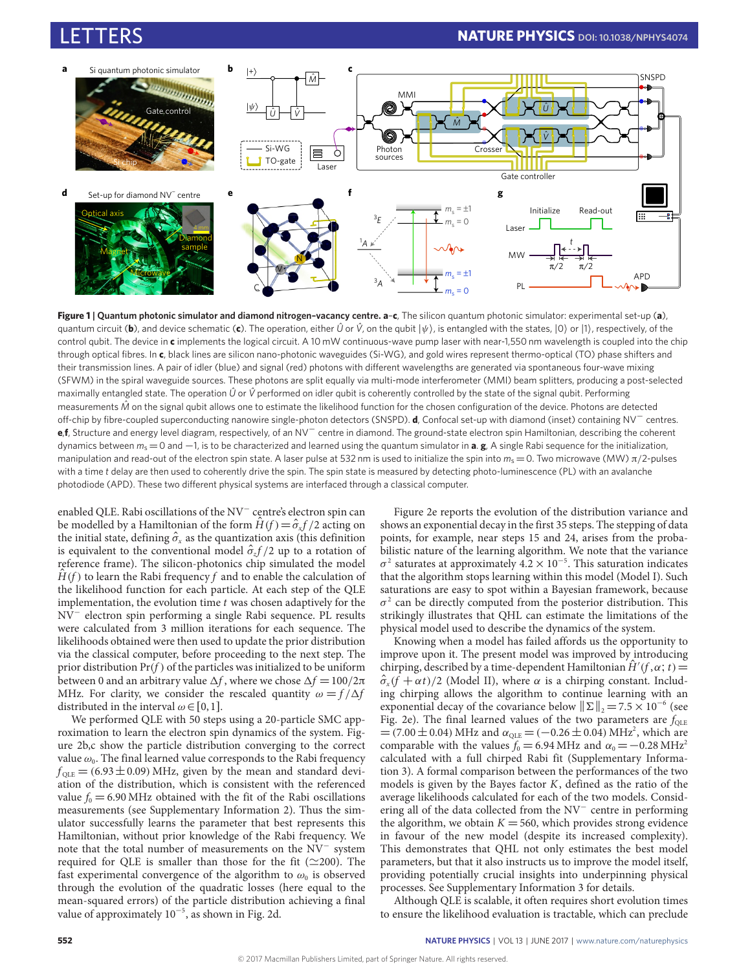<span id="page-1-0"></span>

**Figure 1 | Quantum photonic simulator and diamond nitrogen–vacancy centre. a**–**c**, The silicon quantum photonic simulator: experimental set-up (**a**), quantum circuit (b), and device schematic (c). The operation, either  $\hat{U}$  or  $\hat{V}$ , on the qubit  $|\psi\rangle$ , is entangled with the states,  $|0\rangle$  or  $|1\rangle$ , respectively, of the control qubit. The device in **c** implements the logical circuit. A 10 mW continuous-wave pump laser with near-1,550 nm wavelength is coupled into the chip through optical fibres. In **c**, black lines are silicon nano-photonic waveguides (Si-WG), and gold wires represent thermo-optical (TO) phase shifters and their transmission lines. A pair of idler (blue) and signal (red) photons with different wavelengths are generated via spontaneous four-wave mixing (SFWM) in the spiral waveguide sources. These photons are split equally via multi-mode interferometer (MMI) beam splitters, producing a post-selected maximally entangled state. The operation  $\hat{U}$  or  $\hat{V}$  performed on idler qubit is coherently controlled by the state of the signal qubit. Performing measurements *Mˆ* on the signal qubit allows one to estimate the likelihood function for the chosen configuration of the device. Photons are detected off-chip by fibre-coupled superconducting nanowire single-photon detectors (SNSPD). **d**, Confocal set-up with diamond (inset) containing NV<sup>−</sup> centres. **e**,**f**, Structure and energy level diagram, respectively, of an NV<sup>−</sup> centre in diamond. The ground-state electron spin Hamiltonian, describing the coherent dynamics between *m*<sup>s</sup> =0 and −1, is to be characterized and learned using the quantum simulator in **a**. **g**, A single Rabi sequence for the initialization, manipulation and read-out of the electron spin state. A laser pulse at 532 nm is used to initialize the spin into  $m_s = 0$ . Two microwave (MW) π/2-pulses with a time *t* delay are then used to coherently drive the spin. The spin state is measured by detecting photo-luminescence (PL) with an avalanche photodiode (APD). These two different physical systems are interfaced through a classical computer.

enabled QLE. Rabi oscillations of the NV<sup>-</sup> centre's electron spin can be modelled by a Hamiltonian of the form  $\hat{H}(f) = \hat{\sigma}_x f/2$  acting on the initial state, defining  $\hat{\sigma}_x$  as the quantization axis (this definition is equivalent to the conventional model  $\hat{\sigma}_z f/2$  up to a rotation of reference frame). The silicon-photonics chip simulated the model  $\hat{H}(f)$  to learn the Rabi frequency f and to enable the calculation of the likelihood function for each particle. At each step of the QLE implementation, the evolution time  $t$  was chosen adaptively for the NV<sup>−</sup> electron spin performing a single Rabi sequence. PL results were calculated from 3 million iterations for each sequence. The likelihoods obtained were then used to update the prior distribution via the classical computer, before proceeding to the next step. The prior distribution  $Pr(f)$  of the particles was initialized to be uniform between 0 and an arbitrary value  $\Delta f$ , where we chose  $\Delta f = 100/2\pi$ MHz. For clarity, we consider the rescaled quantity  $\omega = f/\Delta f$ distributed in the interval  $\omega \in [0,1]$ .

We performed QLE with 50 steps using a 20-particle SMC approximation to learn the electron spin dynamics of the system. Figure [2b,c](#page-2-0) show the particle distribution converging to the correct value  $\omega_{\text{o}}.$  The final learned value corresponds to the Rabi frequency  $f_{\text{OLE}} = (6.93 \pm 0.09)$  MHz, given by the mean and standard deviation of the distribution, which is consistent with the referenced value  $f_0 = 6.90 \text{ MHz}$  obtained with the fit of the Rabi oscillations measurements (see Supplementary Information 2). Thus the simulator successfully learns the parameter that best represents this Hamiltonian, without prior knowledge of the Rabi frequency. We note that the total number of measurements on the NV<sup>-</sup> system required for QLE is smaller than those for the fit ( $\simeq$ 200). The fast experimental convergence of the algorithm to  $\omega_0$  is observed through the evolution of the quadratic losses (here equal to the mean-squared errors) of the particle distribution achieving a final value of approximately 10<sup>−</sup><sup>5</sup> , as shown in Fig. [2d.](#page-2-0)

Figure [2e](#page-2-0) reports the evolution of the distribution variance and shows an exponential decay in the first 35 steps. The stepping of data points, for example, near steps 15 and 24, arises from the probabilistic nature of the learning algorithm. We note that the variance  $\sigma^2$  saturates at approximately 4.2 × 10<sup>-5</sup>. This saturation indicates that the algorithm stops learning within this model (Model I). Such saturations are easy to spot within a Bayesian framework, because  $\sigma^2$  can be directly computed from the posterior distribution. This strikingly illustrates that QHL can estimate the limitations of the physical model used to describe the dynamics of the system.

Knowing when a model has failed affords us the opportunity to improve upon it. The present model was improved by introducing chirping, described by a time-dependent Hamiltonian  $\hat{H}'(f, \alpha; t)$  =  $\hat{\sigma}_x(f + \alpha t)/2$  (Model II), where  $\alpha$  is a chirping constant. Including chirping allows the algorithm to continue learning with an exponential decay of the covariance below  $\|\Sigma\|_2 = 7.5 \times 10^{-6}$  (see Fig. [2e\)](#page-2-0). The final learned values of the two parameters are  $f_{\text{OLE}}$  $=(7.00 \pm 0.04)$  MHz and  $\alpha_{QLE} = (-0.26 \pm 0.04)$  MHz<sup>2</sup>, which are comparable with the values  $f_0 = 6.94 \text{ MHz}$  and  $\alpha_0 = -0.28 \text{ MHz}^2$ calculated with a full chirped Rabi fit (Supplementary Information 3). A formal comparison between the performances of the two models is given by the Bayes factor  $K$ , defined as the ratio of the average likelihoods calculated for each of the two models. Considering all of the data collected from the NV<sup>-</sup> centre in performing the algorithm, we obtain  $K = 560$ , which provides strong evidence in favour of the new model (despite its increased complexity). This demonstrates that QHL not only estimates the best model parameters, but that it also instructs us to improve the model itself, providing potentially crucial insights into underpinning physical processes. See Supplementary Information 3 for details.

Although QLE is scalable, it often requires short evolution times to ensure the likelihood evaluation is tractable, which can preclude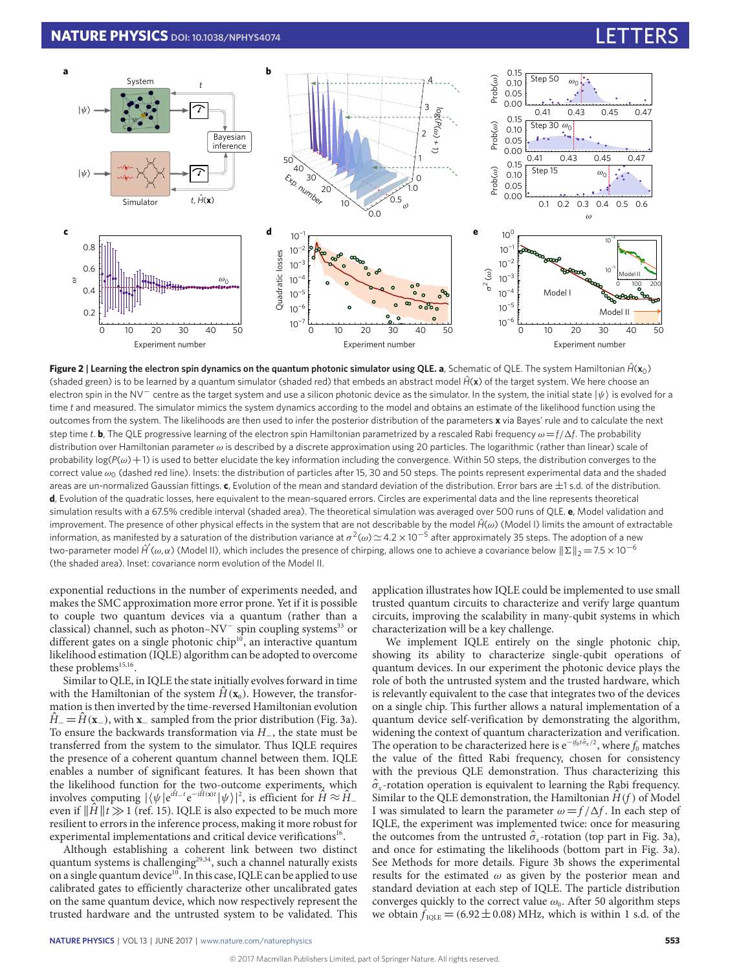# **NATURE PHYSICS** DOI: [10.1038/NPHYS4074](http://dx.doi.org/10.1038/nphys4074)

<span id="page-2-0"></span>

**Figure 2** | Learning the electron spin dynamics on the quantum photonic simulator using QLE. **a**, Schematic of QLE. The system Hamiltonian  $\hat{H}(\mathbf{x}_0)$ (shaded green) is to be learned by a quantum simulator (shaded red) that embeds an abstract model *Hˆ*(**x**) of the target system. We here choose an electron spin in the NV<sup>−</sup> centre as the target system and use a silicon photonic device as the simulator. In the system, the initial state  $|\psi\rangle$  is evolved for a time *t* and measured. The simulator mimics the system dynamics according to the model and obtains an estimate of the likelihood function using the outcomes from the system. The likelihoods are then used to infer the posterior distribution of the parameters **x** via Bayes' rule and to calculate the next step time *t*. **b**, The QLE progressive learning of the electron spin Hamiltonian parametrized by a rescaled Rabi frequency  $\omega = f/\Delta f$ . The probability distribution over Hamiltonian parameter  $\omega$  is described by a discrete approximation using 20 particles. The logarithmic (rather than linear) scale of probability  $log(P(\omega)+1)$  is used to better elucidate the key information including the convergence. Within 50 steps, the distribution converges to the correct value  $\omega_0$  (dashed red line). Insets: the distribution of particles after 15, 30 and 50 steps. The points represent experimental data and the shaded areas are un-normalized Gaussian fittings. **c**, Evolution of the mean and standard deviation of the distribution. Error bars are ±1 s.d. of the distribution. **d**, Evolution of the quadratic losses, here equivalent to the mean-squared errors. Circles are experimental data and the line represents theoretical simulation results with a 67.5% credible interval (shaded area). The theoretical simulation was averaged over 500 runs of QLE. **e**, Model validation and improvement. The presence of other physical effects in the system that are not describable by the model  $\hat{H}(\omega)$  (Model Ι) limits the amount of extractable information, as manifested by a saturation of the distribution variance at  $\sigma^2(\omega)$   $\simeq$  4.2  $\times$  10 $^{-5}$  after approximately 35 steps. The adoption of a new two-parameter model *Ĥ (ω,α*) (Model II), which includes the presence of chirping, allows one to achieve a covariance below  $||\Sigma||_2 = 7.5 \times 10^{-6}$ (the shaded area). Inset: covariance norm evolution of the Model II.

exponential reductions in the number of experiments needed, and makes the SMC approximation more error prone. Yet if it is possible to couple two quantum devices via a quantum (rather than a classical) channel, such as photon-NV<sup>-</sup> spin coupling systems<sup>[33](#page-4-5)</sup> or different gates on a single photonic chip<sup>[10](#page-3-6)</sup>, an interactive quantum likelihood estimation (IQLE) algorithm can be adopted to overcome these problems<sup>[15](#page-3-10)[,16](#page-3-11)</sup>.

Similar to QLE, in IQLE the state initially evolves forward in time with the Hamiltonian of the system  $H(\mathbf{x}_0)$ . However, the transformation is then inverted by the time-reversed Hamiltonian evolution  $H<sub>−</sub> = H(**x**<sub>−</sub>)$ , with **x**<sub>−</sub> sampled from the prior distribution (Fig. [3a\)](#page-3-20). To ensure the backwards transformation via H−, the state must be transferred from the system to the simulator. Thus IQLE requires the presence of a coherent quantum channel between them. IQLE enables a number of significant features. It has been shown that the likelihood function for the two-outcome experiments, which involves computing  $|\langle \psi | e^{i\hat{H}-t} e^{-i\hat{H}(x)t} | \psi \rangle|^2$ , is efficient for  $\hat{H} \approx \hat{H}$ even if  $\|\hat{H}\|$   $\gg$  1 (ref. [15\)](#page-3-10). IQLE is also expected to be much more resilient to errors in the inference process, making it more robust for experimental implementations and critical device verifications<sup>[16](#page-3-11)</sup>.

Although establishing a coherent link between two distinct quantum systems is challenging<sup>[29](#page-4-1)[,34](#page-4-6)</sup>, such a channel naturally exists on a single quantum device<sup>[10](#page-3-6)</sup>. In this case, IQLE can be applied to use calibrated gates to efficiently characterize other uncalibrated gates on the same quantum device, which now respectively represent the trusted hardware and the untrusted system to be validated. This application illustrates how IQLE could be implemented to use small trusted quantum circuits to characterize and verify large quantum circuits, improving the scalability in many-qubit systems in which characterization will be a key challenge.

We implement IQLE entirely on the single photonic chip, showing its ability to characterize single-qubit operations of quantum devices. In our experiment the photonic device plays the role of both the untrusted system and the trusted hardware, which is relevantly equivalent to the case that integrates two of the devices on a single chip. This further allows a natural implementation of a quantum device self-verification by demonstrating the algorithm, widening the context of quantum characterization and verification. The operation to be characterized here is  $e^{-if_0t\hat{\sigma}_x/2}$ , where  $f_0$  matches the value of the fitted Rabi frequency, chosen for consistency with the previous QLE demonstration. Thus characterizing this  $\hat{\sigma}_{x}$ -rotation operation is equivalent to learning the Rabi frequency. Similar to the QLE demonstration, the Hamiltonian  $H(f)$  of Model I was simulated to learn the parameter  $\omega = f/\Delta f$ . In each step of IQLE, the experiment was implemented twice: once for measuring the outcomes from the untrusted  $\hat{\sigma}_x$ -rotation (top part in Fig. [3a\)](#page-3-20), and once for estimating the likelihoods (bottom part in Fig. [3a\)](#page-3-20). See Methods for more details. Figure [3b](#page-3-20) shows the experimental results for the estimated  $\omega$  as given by the posterior mean and standard deviation at each step of IQLE. The particle distribution converges quickly to the correct value  $\omega_0$ . After 50 algorithm steps we obtain  $f_{\text{IOLE}} = (6.92 \pm 0.08)$  MHz, which is within 1 s.d. of the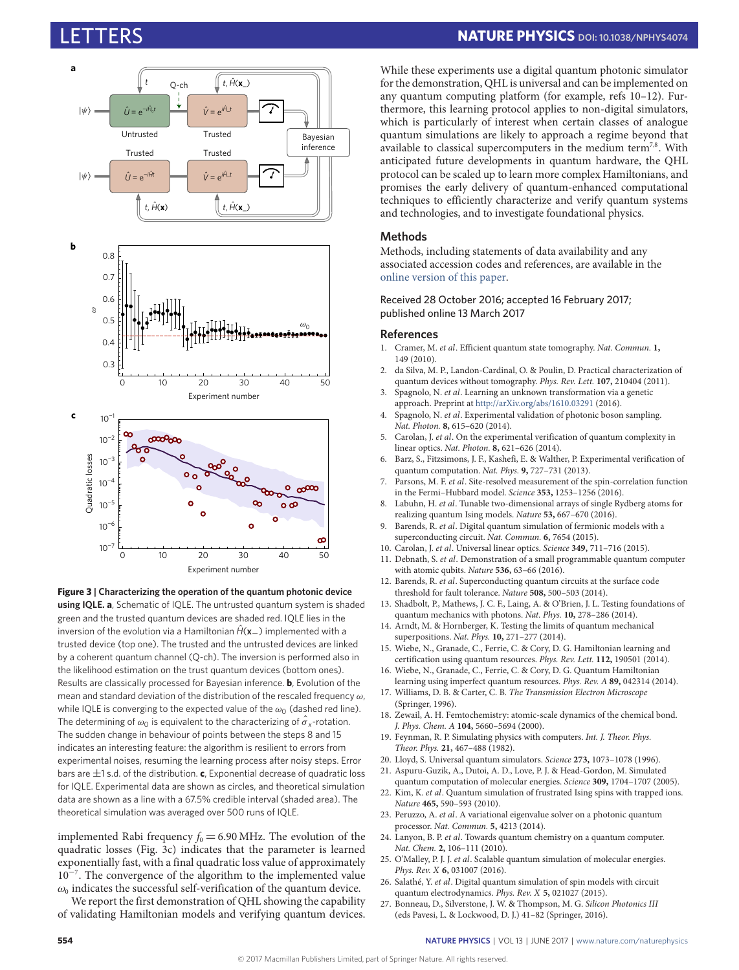<span id="page-3-20"></span>



implemented Rabi frequency  $f_0 = 6.90$  MHz. The evolution of the quadratic losses (Fig. [3c\)](#page-3-20) indicates that the parameter is learned exponentially fast, with a final quadratic loss value of approximately 10<sup>-7</sup>. The convergence of the algorithm to the implemented value  $\omega_0$  indicates the successful self-verification of the quantum device.

We report the first demonstration of QHL showing the capability of validating Hamiltonian models and verifying quantum devices.

While these experiments use a digital quantum photonic simulator for the demonstration, QHL is universal and can be implemented on any quantum computing platform (for example, refs [10](#page-3-6)[–12\)](#page-3-7). Furthermore, this learning protocol applies to non-digital simulators, which is particularly of interest when certain classes of analogue quantum simulations are likely to approach a regime beyond that available to classical supercomputers in the medium term<sup>[7,](#page-3-4)[8](#page-3-21)</sup>. With anticipated future developments in quantum hardware, the QHL protocol can be scaled up to learn more complex Hamiltonians, and promises the early delivery of quantum-enhanced computational techniques to efficiently characterize and verify quantum systems and technologies, and to investigate foundational physics.

# **Methods**

Methods, including statements of data availability and any associated accession codes and references, are available in the [online version of this paper.](http://dx.doi.org/10.1038/nphys4074)

Received 28 October 2016; accepted 16 February 2017; published online 13 March 2017

### **References**

- <span id="page-3-0"></span>1. Cramer, M. et al. Efficient quantum state tomography. Nat. Commun. **1,** 149 (2010).
- 2. da Silva, M. P., Landon-Cardinal, O. & Poulin, D. Practical characterization of quantum devices without tomography. Phys. Rev. Lett. **107,** 210404 (2011).
- <span id="page-3-1"></span>3. Spagnolo, N. et al. Learning an unknown transformation via a genetic approach. Preprint at <http://arXiv.org/abs/1610.03291> (2016).
- <span id="page-3-2"></span>4. Spagnolo, N. et al. Experimental validation of photonic boson sampling. Nat. Photon. **8,** 615–620 (2014).
- 5. Carolan, J. et al. On the experimental verification of quantum complexity in linear optics. Nat. Photon. **8,** 621–626 (2014).
- <span id="page-3-3"></span>6. Barz, S., Fitzsimons, J. F., Kashefi, E. & Walther, P. Experimental verification of quantum computation. Nat. Phys. **9,** 727–731 (2013).
- <span id="page-3-4"></span>7. Parsons, M. F. et al. Site-resolved measurement of the spin-correlation function in the Fermi–Hubbard model. Science **353,** 1253–1256 (2016).
- <span id="page-3-21"></span>8. Labuhn, H. et al. Tunable two-dimensional arrays of single Rydberg atoms for realizing quantum Ising models. Nature **53,** 667–670 (2016).
- <span id="page-3-5"></span>9. Barends, R. et al. Digital quantum simulation of fermionic models with a superconducting circuit. Nat. Commun. **6,** 7654 (2015).
- <span id="page-3-6"></span>10. Carolan, J. et al. Universal linear optics. Science **349,** 711–716 (2015).
- 11. Debnath, S. et al. Demonstration of a small programmable quantum computer with atomic qubits. Nature **536,** 63–66 (2016).
- <span id="page-3-7"></span>12. Barends, R. et al. Superconducting quantum circuits at the surface code threshold for fault tolerance. Nature **508,** 500–503 (2014).
- <span id="page-3-8"></span>13. Shadbolt, P., Mathews, J. C. F., Laing, A. & O'Brien, J. L. Testing foundations of quantum mechanics with photons. Nat. Phys. **10,** 278–286 (2014).
- <span id="page-3-9"></span>14. Arndt, M. & Hornberger, K. Testing the limits of quantum mechanical superpositions. Nat. Phys. **10,** 271–277 (2014).
- <span id="page-3-10"></span>15. Wiebe, N., Granade, C., Ferrie, C. & Cory, D. G. Hamiltonian learning and certification using quantum resources. Phys. Rev. Lett. **112,** 190501 (2014).
- <span id="page-3-11"></span>16. Wiebe, N., Granade, C., Ferrie, C. & Cory, D. G. Quantum Hamiltonian learning using imperfect quantum resources. Phys. Rev. A **89,** 042314 (2014).
- <span id="page-3-12"></span>17. Williams, D. B. & Carter, C. B. The Transmission Electron Microscope (Springer, 1996).
- <span id="page-3-13"></span>18. Zewail, A. H. Femtochemistry: atomic-scale dynamics of the chemical bond. J. Phys. Chem. A **104,** 5660–5694 (2000).
- <span id="page-3-14"></span>19. Feynman, R. P. Simulating physics with computers. Int. J. Theor. Phys. Theor. Phys. **21,** 467–488 (1982).
- <span id="page-3-15"></span>20. Lloyd, S. Universal quantum simulators. Science **273,** 1073–1078 (1996).
- <span id="page-3-16"></span>21. Aspuru-Guzik, A., Dutoi, A. D., Love, P. J. & Head-Gordon, M. Simulated quantum computation of molecular energies. Science **309,** 1704–1707 (2005).
- <span id="page-3-17"></span>22. Kim, K. et al. Quantum simulation of frustrated Ising spins with trapped ions. Nature **465,** 590–593 (2010).
- 23. Peruzzo, A. et al. A variational eigenvalue solver on a photonic quantum processor. Nat. Commun. **5,** 4213 (2014).
- 24. Lanyon, B. P. et al. Towards quantum chemistry on a quantum computer. Nat. Chem. **2,** 106–111 (2010).
- 25. O'Malley, P. J. J. et al. Scalable quantum simulation of molecular energies. Phys. Rev. X **6,** 031007 (2016).
- <span id="page-3-18"></span>26. Salathé, Y. et al. Digital quantum simulation of spin models with circuit quantum electrodynamics. Phys. Rev. X **5,** 021027 (2015).
- <span id="page-3-19"></span>27. Bonneau, D., Silverstone, J. W. & Thompson, M. G. Silicon Photonics III (eds Pavesi, L. & Lockwood, D. J.) 41–82 (Springer, 2016).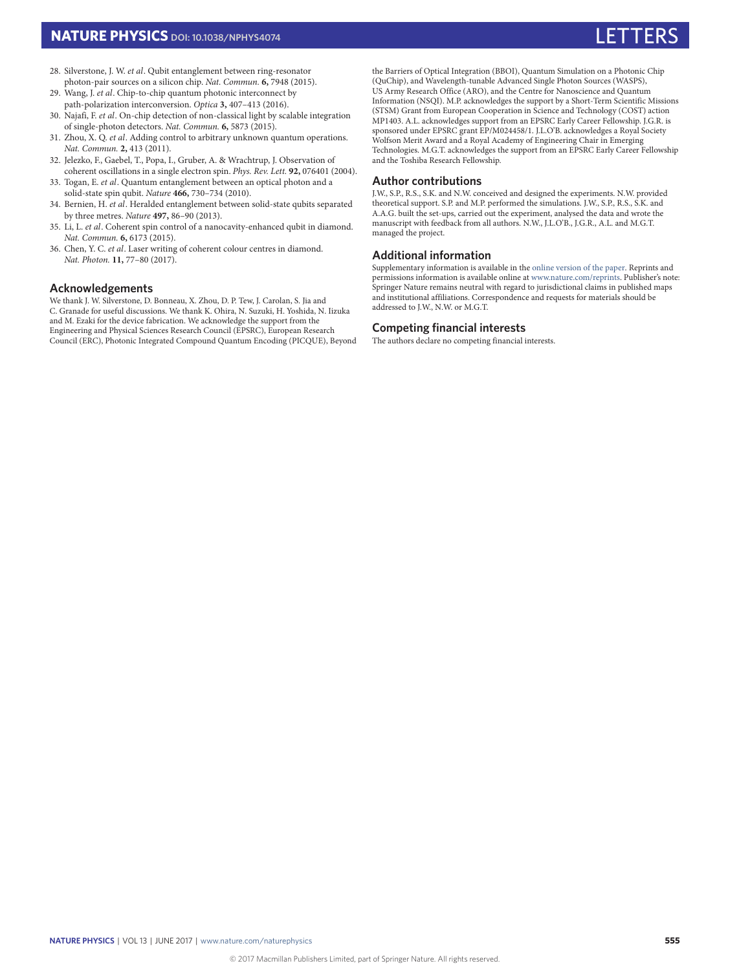- 28. Silverstone, J. W. et al. Qubit entanglement between ring-resonator photon-pair sources on a silicon chip. Nat. Commun. **6,** 7948 (2015).
- <span id="page-4-1"></span>29. Wang, J. et al. Chip-to-chip quantum photonic interconnect by path-polarization interconversion. Optica **3,** 407–413 (2016).
- <span id="page-4-0"></span>30. Najafi, F. et al. On-chip detection of non-classical light by scalable integration of single-photon detectors. Nat. Commun. **6,** 5873 (2015).
- <span id="page-4-2"></span>31. Zhou, X. Q. et al. Adding control to arbitrary unknown quantum operations. Nat. Commun. **2,** 413 (2011).
- <span id="page-4-3"></span>32. Jelezko, F., Gaebel, T., Popa, I., Gruber, A. & Wrachtrup, J. Observation of coherent oscillations in a single electron spin. Phys. Rev. Lett. **92,** 076401 (2004).
- <span id="page-4-5"></span>33. Togan, E. et al. Quantum entanglement between an optical photon and a solid-state spin qubit. Nature **466,** 730–734 (2010).
- <span id="page-4-6"></span>34. Bernien, H. et al. Heralded entanglement between solid-state qubits separated by three metres. Nature **497,** 86–90 (2013).
- 35. Li, L. et al. Coherent spin control of a nanocavity-enhanced qubit in diamond. Nat. Commun. **6,** 6173 (2015).
- <span id="page-4-4"></span>36. Chen, Y. C. et al. Laser writing of coherent colour centres in diamond. Nat. Photon. **11,** 77–80 (2017).

# **Acknowledgements**

We thank J. W. Silverstone, D. Bonneau, X. Zhou, D. P. Tew, J. Carolan, S. Jia and C. Granade for useful discussions. We thank K. Ohira, N. Suzuki, H. Yoshida, N. Iizuka and M. Ezaki for the device fabrication. We acknowledge the support from the Engineering and Physical Sciences Research Council (EPSRC), European Research Council (ERC), Photonic Integrated Compound Quantum Encoding (PICQUE), Beyond the Barriers of Optical Integration (BBOI), Quantum Simulation on a Photonic Chip (QuChip), and Wavelength-tunable Advanced Single Photon Sources (WASPS), US Army Research Office (ARO), and the Centre for Nanoscience and Quantum Information (NSQI). M.P. acknowledges the support by a Short-Term Scientific Missions (STSM) Grant from European Cooperation in Science and Technology (COST) action MP1403. A.L. acknowledges support from an EPSRC Early Career Fellowship. J.G.R. is sponsored under EPSRC grant EP/M024458/1. J.L.O'B. acknowledges a Royal Society Wolfson Merit Award and a Royal Academy of Engineering Chair in Emerging Technologies. M.G.T. acknowledges the support from an EPSRC Early Career Fellowship and the Toshiba Research Fellowship.

#### **Author contributions**

J.W., S.P., R.S., S.K. and N.W. conceived and designed the experiments. N.W. provided theoretical support. S.P. and M.P. performed the simulations. J.W., S.P., R.S., S.K. and A.A.G. built the set-ups, carried out the experiment, analysed the data and wrote the manuscript with feedback from all authors. N.W., J.L.O'B., J.G.R., A.L. and M.G.T. managed the project.

### **Additional information**

Supplementary information is available in the [online version of the paper.](http://dx.doi.org/10.1038/nphys4074) Reprints and permissions information is available online at [www.nature.com/reprints.](http://www.nature.com/reprints) Publisher's note: Springer Nature remains neutral with regard to jurisdictional claims in published maps and institutional affiliations. Correspondence and requests for materials should be addressed to J.W., N.W. or M.G.T.

### **Competing financial interests**

The authors declare no competing financial interests.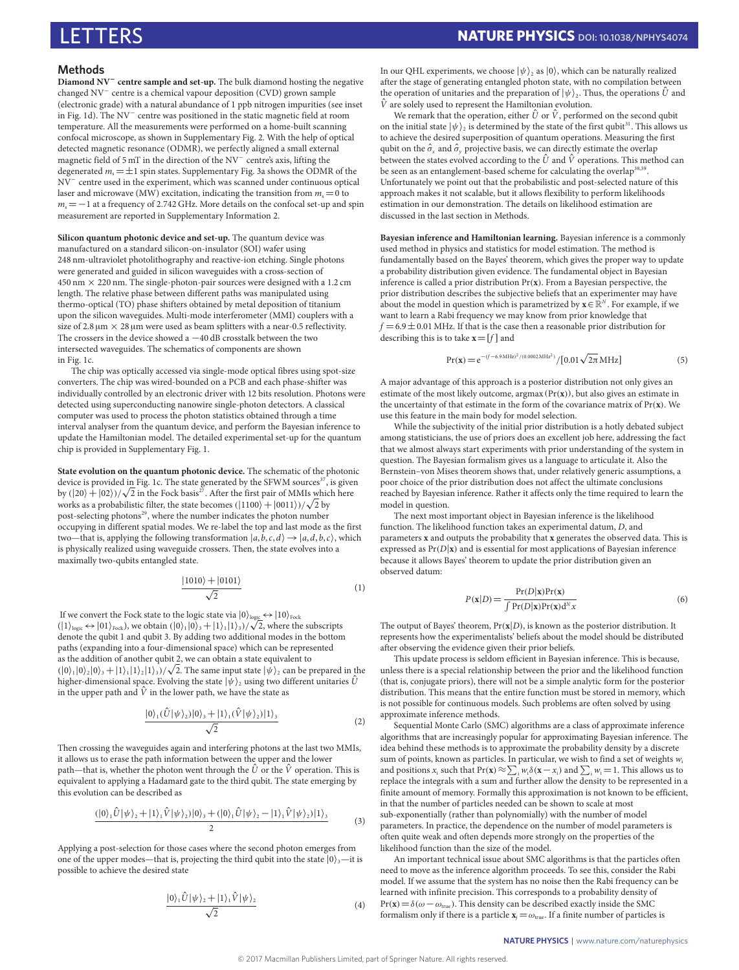# LETTERS **NATURE PHYSICS DOI: [10.1038/NPHYS4074](http://dx.doi.org/10.1038/nphys4074)**

### **Methods**

**Diamond NV**<sup>−</sup> **centre sample and set-up.** The bulk diamond hosting the negative changed NV<sup>−</sup> centre is a chemical vapour deposition (CVD) grown sample (electronic grade) with a natural abundance of 1 ppb nitrogen impurities (see inset in Fig. [1d\)](#page-1-0). The NV<sup>−</sup> centre was positioned in the static magnetic field at room temperature. All the measurements were performed on a home-built scanning confocal microscope, as shown in Supplementary Fig. 2. With the help of optical detected magnetic resonance (ODMR), we perfectly aligned a small external magnetic field of 5 mT in the direction of the NV<sup>-</sup> centre's axis, lifting the degenerated  $m_s = \pm 1$  spin states. Supplementary Fig. 3a shows the ODMR of the NV<sup>−</sup> centre used in the experiment, which was scanned under continuous optical laser and microwave (MW) excitation, indicating the transition from  $m_s = 0$  to  $m = -1$  at a frequency of 2.742 GHz. More details on the confocal set-up and spin measurement are reported in Supplementary Information 2.

**Silicon quantum photonic device and set-up.** The quantum device was manufactured on a standard silicon-on-insulator (SOI) wafer using 248 nm-ultraviolet photolithography and reactive-ion etching. Single photons were generated and guided in silicon waveguides with a cross-section of  $450 \text{ nm} \times 220 \text{ nm}$ . The single-photon-pair sources were designed with a 1.2 cm length. The relative phase between different paths was manipulated using thermo-optical (TO) phase shifters obtained by metal deposition of titanium upon the silicon waveguides. Multi-mode interferometer (MMI) couplers with a size of  $2.8 \,\mathrm{\upmu m} \times 28 \,\mathrm{\upmu m}$  were used as beam splitters with a near-0.5 reflectivity. The crossers in the device showed a −40 dB crosstalk between the two intersected waveguides. The schematics of components are shown in Fig. [1c.](#page-1-0)

The chip was optically accessed via single-mode optical fibres using spot-size converters. The chip was wired-bounded on a PCB and each phase-shifter was individually controlled by an electronic driver with 12 bits resolution. Photons were detected using superconducting nanowire single-photon detectors. A classical computer was used to process the photon statistics obtained through a time interval analyser from the quantum device, and perform the Bayesian inference to update the Hamiltonian model. The detailed experimental set-up for the quantum chip is provided in Supplementary Fig. 1.

**State evolution on the quantum photonic device.** The schematic of the photonic device is provided in Fig. [1c.](#page-1-0) The state generated by the SFWM sources $37$ , is given device is provided in Fig. 1c. The state generated by the SFWM sources", is give<br>by (|20) + |02))/ $\sqrt{2}$  in the Fock basis<sup>[27](#page-3-19)</sup>. After the first pair of MMIs which here by (|20) + |02))/ $\sqrt{2}$  in the Fock basis<sup>27</sup>. After the first pair of MMIs which works as a probabilistic filter, the state becomes (|1100) + |0011})/ $\sqrt{2}$  by post-selecting photons<sup>[29](#page-4-1)</sup>, where the number indicates the photon number occupying in different spatial modes. We re-label the top and last mode as the first two—that is, applying the following transformation  $|a, \dot{b}, c, d\rangle \rightarrow |a, d, b, c\rangle$ , which is physically realized using waveguide crossers. Then, the state evolves into a maximally two-qubits entangled state.

$$
\frac{|1010\rangle + |0101\rangle}{\sqrt{2}}\tag{1}
$$

If we convert the Fock state to the logic state via  $|0\rangle_{\text{logic}} \leftrightarrow |10\rangle_{\text{Fock}}$ If we convert the Fock state to the logic state via  $|0\rangle_{\text{logic}} \leftrightarrow |10\rangle_{\text{rock}}$ <br>(|1)<sub>logic</sub>  $\leftrightarrow |01\rangle_{\text{rock}}$ , we obtain (|0)<sub>1</sub>|0)<sub>3</sub> + |1)<sub>1</sub>|1)<sub>3</sub>)/ $\sqrt{2}$ , where the subscripts denote the qubit 1 and qubit 3. By adding two additional modes in the bottom paths (expanding into a four-dimensional space) which can be represented as the addition of another qubit 2, we can obtain a state equivalent to as the addition of another qubit 2, we can obtain a state equivalent to  $(|0\rangle_1 |0\rangle_2 |0\rangle_3 + |1\rangle_1 |1\rangle_2 |1\rangle_3)/\sqrt{2}$ . The same input state  $|\psi\rangle_2$  can be prepared in the higher-dimensional space. Evolving the state  $|\psi\rangle$ <sub>2</sub> using two different unitaries  $\hat{U}$ in the upper path and  $\hat{V}$  in the lower path, we have the state as

$$
\frac{|0\rangle_1(\hat{U}|\psi\rangle_2)|0\rangle_3 + |1\rangle_1(\hat{V}|\psi\rangle_2)|1\rangle_3}{\sqrt{2}}\tag{2}
$$

Then crossing the waveguides again and interfering photons at the last two MMIs, it allows us to erase the path information between the upper and the lower path—that is, whether the photon went through the  $\hat{U}$  or the  $\hat{V}$  operation. This is equivalent to applying a Hadamard gate to the third qubit. The state emerging by this evolution can be described as

$$
\frac{(|0\rangle_1 \hat{U} |\psi\rangle_2 + |1\rangle_1 \hat{V} |\psi\rangle_2)|0\rangle_3 + (|0\rangle_1 \hat{U} |\psi\rangle_2 - |1\rangle_1 \hat{V} |\psi\rangle_2)|1\rangle_3}{2}
$$
(3)

Applying a post-selection for those cases where the second photon emerges from one of the upper modes—that is, projecting the third qubit into the state  $|0\rangle$ <sub>3</sub>—it is possible to achieve the desired state

<span id="page-5-0"></span>
$$
\frac{|0\rangle_{1}\hat{U}|\psi\rangle_{2}+|1\rangle_{1}\hat{V}|\psi\rangle_{2}}{\sqrt{2}}\tag{4}
$$

In our QHL experiments, we choose  $|\psi\rangle$ , as  $|0\rangle$ , which can be naturally realized after the stage of generating entangled photon state, with no compilation between the operation of unitaries and the preparation of  $|\psi\rangle$ <sub>2</sub>. Thus, the operations  $\hat{U}$  and  $\hat{V}$  are solely used to represent the Hamiltonian evolution.

We remark that the operation, either  $\hat{U}$  or  $\hat{V}$ , performed on the second qubit on the initial state  $|\psi\rangle_{2}$  is determined by the state of the first qubit<sup>[31](#page-4-2)</sup>. This allows us to achieve the desired superposition of quantum operations. Measuring the first qubit on the  $\hat{\sigma}_x$  and  $\hat{\sigma}_y$  projective basis, we can directly estimate the overlap between the states evolved according to the  $\hat{U}$  and  $\hat{V}$  operations. This method can be seen as an entanglement-based scheme for calculating the overlap<sup>[38,](#page-6-1)[39](#page-6-2)</sup>. Unfortunately we point out that the probabilistic and post-selected nature of this approach makes it not scalable, but it allows flexibility to perform likelihoods estimation in our demonstration. The details on likelihood estimation are discussed in the last section in Methods.

**Bayesian inference and Hamiltonian learning.** Bayesian inference is a commonly used method in physics and statistics for model estimation. The method is fundamentally based on the Bayes' theorem, which gives the proper way to update a probability distribution given evidence. The fundamental object in Bayesian inference is called a prior distribution Pr(**x**). From a Bayesian perspective, the prior distribution describes the subjective beliefs that an experimenter may have about the model in question which is parametrized by  $\mathbf{x} \in \mathbb{R}^N$ . For example, if we want to learn a Rabi frequency we may know from prior knowledge that  $f = 6.9 \pm 0.01$  MHz. If that is the case then a reasonable prior distribution for describing this is to take  $\mathbf{x} = [f]$  and

$$
Pr(x) = e^{-(f - 6.9 \text{ MHz})^2 / (0.0002 \text{ MHz}^2)} / [0.01 \sqrt{2\pi} \text{ MHz}]
$$
\n(5)

A major advantage of this approach is a posterior distribution not only gives an estimate of the most likely outcome, argmax (Pr(**x**)), but also gives an estimate in the uncertainty of that estimate in the form of the covariance matrix of Pr(**x**). We use this feature in the main body for model selection.

While the subjectivity of the initial prior distribution is a hotly debated subject among statisticians, the use of priors does an excellent job here, addressing the fact that we almost always start experiments with prior understanding of the system in question. The Bayesian formalism gives us a language to articulate it. Also the Bernstein–von Mises theorem shows that, under relatively generic assumptions, a poor choice of the prior distribution does not affect the ultimate conclusions reached by Bayesian inference. Rather it affects only the time required to learn the model in question.

The next most important object in Bayesian inference is the likelihood function. The likelihood function takes an experimental datum, D, and parameters **x** and outputs the probability that **x** generates the observed data. This is expressed as  $Pr(D|\mathbf{x})$  and is essential for most applications of Bayesian inference because it allows Bayes' theorem to update the prior distribution given an observed datum:

$$
P(\mathbf{x}|D) = \frac{\Pr(D|\mathbf{x})\Pr(\mathbf{x})}{\int \Pr(D|\mathbf{x})\Pr(\mathbf{x})d^N x}
$$
(6)

The output of Bayes' theorem, Pr(**x**|D), is known as the posterior distribution. It represents how the experimentalists' beliefs about the model should be distributed after observing the evidence given their prior beliefs.

This update process is seldom efficient in Bayesian inference. This is because, unless there is a special relationship between the prior and the likelihood function (that is, conjugate priors), there will not be a simple analytic form for the posterior distribution. This means that the entire function must be stored in memory, which is not possible for continuous models. Such problems are often solved by using approximate inference methods.

Sequential Monte Carlo (SMC) algorithms are a class of approximate inference algorithms that are increasingly popular for approximating Bayesian inference. The idea behind these methods is to approximate the probability density by a discrete sum of points, known as particles. In particular, we wish to find a set of weights  $w_i$ and positions  $x_i$  such that Pr(**x**)  $\approx \sum_i w_i \delta(\mathbf{x} - x_i)$  and  $\sum_i w_i = 1$ . This allows us to replace the integrals with a sum and further allow the density to be represented in a finite amount of memory. Formally this approximation is not known to be efficient, in that the number of particles needed can be shown to scale at most sub-exponentially (rather than polynomially) with the number of model parameters. In practice, the dependence on the number of model parameters is often quite weak and often depends more strongly on the properties of the likelihood function than the size of the model.

An important technical issue about SMC algorithms is that the particles often need to move as the inference algorithm proceeds. To see this, consider the Rabi model. If we assume that the system has no noise then the Rabi frequency can be learned with infinite precision. This corresponds to a probability density of  $Pr(\mathbf{x}) = \delta(\omega - \omega_{true})$ . This density can be described exactly inside the SMC formalism only if there is a particle  $\mathbf{x}_i = \omega_{\text{true}}$ . If a finite number of particles is